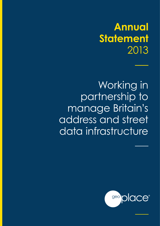# **Annual Statement**  2013

Working in partnership to manage Britain's address and street data infrastructure

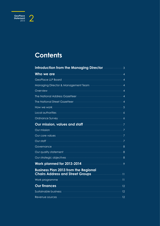## Contents

| Introduction from the Managing Director ————————3                                                                                                                                                                                    |  |
|--------------------------------------------------------------------------------------------------------------------------------------------------------------------------------------------------------------------------------------|--|
| <u>Who we are all the contract of the contract of the contract of the contract of the contract of the contract of the contract of the contract of the contract of the contract of the contract of the contract of the contract o</u> |  |
| GeoPlace LLP Board <b>Commission Accord</b> 4                                                                                                                                                                                        |  |
|                                                                                                                                                                                                                                      |  |
| Overview 4                                                                                                                                                                                                                           |  |
| The National Address Gazetteer <b>Communication and Address A</b>                                                                                                                                                                    |  |
| The National Street Gazetteer <b>Communication Communication</b> 4                                                                                                                                                                   |  |
|                                                                                                                                                                                                                                      |  |
| Local authorities <b>Constitution of the Constitution</b> of the Constitution of the Constitution of the Constitution of                                                                                                             |  |
| Ordnance Survey <b>Commission Control</b> 6                                                                                                                                                                                          |  |
| Our mission, values and staff <b>container the state of the state of the state of the state of the S</b>                                                                                                                             |  |
| Our mission <b>Constitution of the Constitution of the Constitution of the Constitution of the Constitution of T</b>                                                                                                                 |  |
|                                                                                                                                                                                                                                      |  |
| <u>Our staff 2008 and 2008 and 2008 and 2008 and 2008 and 2008 and 2008 and 2008 and 2008 and 2008 and 2008 and 2008 and 2008 and 2008 and 2008 and 2008 and 2008 and 2008 and 2008 and 2008 and 2008 and 2008 and 2008 and 2008</u> |  |
| Governance 38                                                                                                                                                                                                                        |  |
| Our quality statement 38                                                                                                                                                                                                             |  |
| Our strategic objectives <b>Commission Control and Service Control</b> 8                                                                                                                                                             |  |
| Work planned for 2013-2014 <b>State State State State State State State</b> 8                                                                                                                                                        |  |
| <b>Business Plan 2013 from the Regional</b><br>Chairs Address and Street Groups <b>Chairs Address and Street Groups</b>                                                                                                              |  |
| Work programme <b>with the contract of the contract of the contract of the contract of the contract of the contract of the contract of the contract of the contract of the contract of the contract of the contract of the contr</b> |  |
|                                                                                                                                                                                                                                      |  |
| Sustainable business <b>with the contract of the contract of the 12</b>                                                                                                                                                              |  |
| Revenue sources <b>Manual According to the Contract of Table 12</b>                                                                                                                                                                  |  |

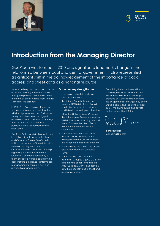



## **Introduction from the Managing Director**

GeoPlace was formed in 2010 and signalled a landmark change in the relationship between local and central government. It also represented a significant shift in the acknowledgement of the importance of good address and street data as a national resource.

Service delivery has always had to have a location. Getting the ambulance to the injured pedestrian or the fire crews to the block of flats has no room for error – time is of the essence.

In 2013, GeoPlace has a cutting edge technical infrastructure and, together with local government and Ordnance Survey provides one of the biggest shared services in Great Britain, through the creation and maintenance of publicly-owned spatial address and street data.

GeoPlace's strength is in its people and its relationship with local authorities and Ordnance Survey. GeoPlace is built on the bedrock of the relationship between local government and Ordnance Survey and this relationship is growing in strength all the time. Crucially, GeoPlace is formed by a team of experts working centrally who demonstrate excellence in information management; technical IT skills and relationship management.

#### **Our other key strengths are;**

- address and street data derived directly from source
- the Unique Property Reference Number (UPRN) is included from day one in the lifecycle of an address, and is key in the joining-up of services
- within the National Street Gazetteer. the Unique Street Reference Number (USRN) is included from day one and is used for the notification of and to improve the synchronisation of streetworks
- our addresses cover much more than just postal delivery points – AddressBase® Premium has in excess of 5 million more addresses than PAF
- a direct link to the TOIDs the unique spatial identifiers from Ordnance Survey
- our relationship with the Joint Authorities Group (UK) (JAG UK) allows us to provide better services to the streetworks community and provide us with a national voice in street and road works matters.

Combining the expertise and local knowledge of local Custodians with the technical expertise and support provided by GeoPlace staff is vital to the on-going goal of our journey of one united address and street index used across the entire public and private sectors across Great Britain

**Richard Mason** Managing Director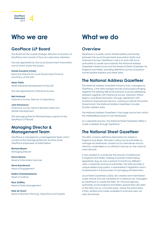## **Who we are**

 $\frac{1}{2013}$  4

**GeoPlace Statement**

### **GeoPlace LLP Board**

The Board set the overall strategic direction and policy of GeoPlace and consists of four non-executive members.

Two are appointed by the Local Government Association, one of which chairs the board;

#### **Daniel Goodwin (chair)**

*Executive Director for Local Government Finance and Policy at the LGA*

#### **Helen Platts**

*Head of Business Development at the LGA*

Two are appointed by Ordnance Survey:

**Neil Ackroyd**  *Ordnance Survey, Director of Operations*

#### **John Kimmance**

*Ordnance Survey, Head of Business Sales and Market Development*

The Managing Director Richard Mason reports to the GeoPlace LLP Board.

### **Managing Director & Management Team**

GeoPlace is managed by a Management Team which consists of the Managing Director and five senior GeoPlace employees as listed below:

**Richard Mason** *Managing Director*

**Simon Barlow** *Head of Information Services*

**Steve Brandwood** *Head of Engagement*

**Radha Chandrasekaran** *Head of Systems*

**Nick Griffiths** *Head of Data Management*

#### **Kate de Groot**

*Head of Business Planning, Operations and Quality*

## **What we do**

### **Overview**

GeoPlace is a public sector limited liability partnership between the Local Government Association (LGA) and Ordnance Survey. GeoPlace's role is to work with local authorities to create and maintain the National Address Gazetteer infrastructure and the National Street Gazetteer for England and Wales, providing definitive sources of publiclyowned spatial address and street data.

### **The National Address Gazetteer**

The National Address Gazetteer infrastructure, managed by GeoPlace, is the data storage and set of processes bringing together the existing 348 local authority sourced addressing datasets together with Ordnance Survey, Valuation Office Agency and Royal Mail data. Through agreement with Scotland's Improvement Service, working on behalf of Scottish Government, the National Address Gazetteer includes Scottish address data.

The National Address Gazetteer is the single source from which the AddressBase products are developed.

As a separate process, the National Street Gazetteer (NSG) is made available through GeoPlace.'

### **The National Street Gazetteer**

The NSG contains definitive information for streets in England and Wales. Primarily it allows local authorities to manage all streetworks carried out by themselves and by statutory undertakers in an efficient manner on the national road network.

It was created to coordinate the process of streetworks in England and Wales, helping to prevent streets being repeatedly dug up over a period of months by different utility companies and local authorities. The NSG provides a unique referencing system, is embedded in legislation and is fundamental in the processes of managing all streetworks.

Local Street Gazetteers (LSGs) are created and maintained under statute and are compiled at a national hub, managed by GeoPlace to create the NSG. All 174 local highway authorities across England and Wales upload their LSG data to the NSG hub on a monthly basis, where the information is then verified and made available to licenced users via web downloads.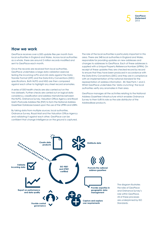#### **How we work**

GeoPlace receives over 6,500 update files per month from local authorities in England and Wales. Across local authorities as a whole, there are around 2 million records modified and sent to GeoPlace each month.

Once the records are received from local authorities, GeoPlace undertakes a large data validation exercise testing the incoming LLPG and LSG data against the Data Transfer Format (DTF) and the Data Entry Conventions (DEC) specifications. Both NLPG and NSG are then compared against each other to highlight any street record anomalies.

A series of 500 health checks are also carried out on the two datasets. Further checks are carried out on logical data consistency, classification and address mismatches between the NLPG, Ordnance Survey, Valuation Office Agency and Royal Mail's Postcode Address File (PAF) to form the National Address Gazetteer Database based upon the use of the UPRN and USRN.

By taking data from multiple sources; local authorities, Ordnance Survey, Royal Mail and the Valuation Office Agency and validating it against each other, GeoPlace can be confident that change intelligence on the ground is captured.

The role of the local authorities is particularly important in this area. There are 348 local authorities in England and Wales, responsible for providing updates on new addresses and changes to addresses to GeoPlace. Each of these addresses is supplied with a Unique Property Reference Number (UPRN). On receipt of these updates they are checked record by record to ensure that they have been produced in accordance with the Data Entry Conventions (DEC) and they are in compliance with an implementation of the national standard for the representation of address information - BS 7666 Parts 1 and 2. Whilst GeoPlace undertakes the 'data crunching' the local authorities verify any anomalies in their area.

GeoPlace manages all the activities relating to the National Address Gazetteer infrastructure which enables Ordnance Survey to then fulfil its role as the sole distributor of the AddressBase products.



The diagram illustrates the roles of GeoPlace and Ordnance Survey's role within GeoPlace. All of these processes are underpinned by ISO Standards.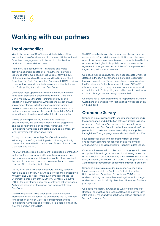## **Working with our partners**

### **Local authorities**

 $\frac{\text{lace}}{2013}$  6

**GeoPlace Statement**

Vital to the success of GeoPlace and the building of the National Address Gazetteer infrastructure and National Street Gazetteer is engagement with the local authorities that produce address and street data.

There are 348 local authorities in England and Wales providing address updates and 174 authorities providing street updates to GeoPlace. These updates form the bulk of the National Address Gazetteer and the National Street Gazetteer. The Data Co-operation Agreement (DCA) provides a contractual commitment between each authority (known as a Participating Authority) and GeoPlace.

On receipt, these updates are validated to ensure that they have been produced in accordance with the – Data Entry Conventions (DEC), the Data Transfer Format (DTF) and validation rules. Participating Authorities are also set annual improvement targets to foster continuous improvements in data quality, completeness and currency, and are part of a performance management framework, through the DCA, to support the least well performing Participating Authorities.

Shared ownership of the DCA (including technical documentation, the continuous improvement programme and the performance management framework) with Participating Authorities is critical to ensure commitment by local government to GeoPlace's work.

Through this shared ownership, GeoPlace has worked extremely successfully in building a Participating Authority community, committed to the success of the National Address Gazetteer and the NSG.

The DCA provides local government's operational contribution to the GeoPlace partnership. Contract management and governance arrangements have been put in place to reflect the need to manage a standard agreement across a large number of Participating Authorities.

The DCA sets out a variation procedure whereby variation may be made to the DCA in writing between the Participating Authority and GeoPlace, where such amendment has the unanimous agreement of the Authority Contacts Executive (ACE) – the body formed from representatives of Participating Authorities, elected by their peers and representatives of GeoPlace.

These arrangements have been put in place to enable reasonable essential changes to be made to the DCA without renegotiation between GeoPlace and several hundred Participating Authorities and to allow for a degree of flexibility over the duration of the DCA.

The DCA specifically highlights areas where change may be expected, to reflect existing strategic thinking and discussion, operational development over time and to enable the utilisation of newer technologies. It also puts in place processes for the agreement, management and evolution of the improvement targets and performance measures.

GeoPlace manages a network of officer contacts, which, as detailed in the DCA governance, elect peers to represent them at regional level. These regional representatives elect the Participating Authority representatives on ACE. ACE ultimately manages a programme of communication and consultation with Participating Authorities prior to any formal contract change process being implemented.

GeoPlace has a work programme to support local authority Custodians and engage with Participating Authorities on an on-going basis.

### **Ordnance Survey**

Ordnance Survey is responsible for capturing market needs, the specification and distribution of the AddressBase range of products. Ordnance Survey worked closely with local government and GeoPlace to derive the new AddressBase products. It has informed customers and system suppliers through the OS Insight programme which started in April 2011.

It supports product use in the market by direct end user engagement, software vendor support and wider market engagement. It is also responsible for supporting date usage.

Ordnance Survey uses its market reach to engage with users and potential uses to grow the spatial addressing market and drive innovation. Ordnance Survey is the sole distributor for the sales, marketing, distribution and product management of the AddressBase products both directly and through its partners.

Ordnance Survey also provides information sourced from their large-scale data to GeoPlace for inclusion in the National Address Gazetteer. This includes: TOIDS for the address; building and street features together with a range of addresses for certain priority objects and their classifications (descriptions).

GeoPlace interacts with Ordnance Survey at a number of strategic, contractual and technical levels. The day-to-day relationship is managed through the GeoPlace / Ordnance Survey Programme Board.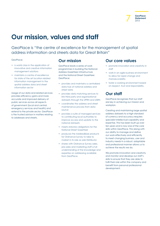

## **Our mission, values and staff**

GeoPlace is "the centre of excellence for the management of spatial address information and streets data for Great Britain"

#### GeoPlace;

- is world class in the application of innovative and creative information management solutions
- maintains a centre of excellence for state of the art location related information management in the spatial address data and street information sector

Usage of our data and related services provides efficiency gains and more accurate and improved delivery of public services across all aspects of government (local and central, emergency services and health) and extend to the private sector. GeoPlace is the trusted advisor in matters relating to addresses and streets.

### **Our mission**

GeoPlace leads a series of work programmes in building the National Address Gazetteer infrastructure and the National Street Gazetteer. GeoPlace;

- provides and maintains a centralised data hub of national address and street data
- provides data matching services to link third party and organisational datasets through the UPRN and USRN
- coordinates the address and street maintenance process from data source
- provides a suite of managed services to contributing local authorities to improve access and update to the national datasets
- meets statutory obligations for the National Street Gazetteer
- produces the AddressBase products for Ordnance Survey to take to market in its role as sole Distributor
- shares with Ordnance Survey sales, pre-sales and marketing staff a full understanding of the knowledge and expertise on addressing available from GeoPlace.

### **Our core values**

- promote innovation and creativity in staff
- work in an agile business environment to allow for rapid change and manoeuvrability
- foster a working environment based on respect, trust and responsibility.

### **Our staff**

GeoPlace recognises that our staff are key in achieving our mission and workplan.

Creating and maintaining large spatial address datasets to a high standard of currency and accuracy requires specialist intellectual capability and expertise. This has been built up over ten years and is now one of the core skills within GeoPlace. This along with our ability to manage and define our work effectively and efficiently to meet changing business, user and industry needs in a robust, adaptable and professional manner allows us to achieve the results we do.

We promote innovation and creativity and monitor and develop our staff's skills to ensure that they are able to fulfil their role within the company and benefit from personal professional development.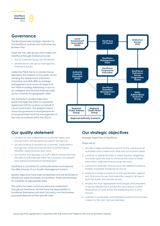

### **Governance**

The Board provides strategic direction to the GeoPlace business and authorises the Business Plan.

There are two user groups which liaise with GeoPlace through Ordnance Survey:

- the GI Customer Group (for the PSMA);
- private sector user group managed by Ordnance Survey

Under the PSMA the GI Customer Group represents the interests of the public sector, advising the Department of Business, Innovation and Skills (BIS) on strategic management and covers all aspects of the PSMA including addressing. It acts as an intelligent and forward-thinking public sector customer for geographic data.

The Authority Custodian Executive (ACE) manages the Data Co-operation Agreement (DCA) contract on behalf of Local Government. The diagram below shows the governance arrangements for local government and the management of the hubs as outlined within the (DCA).



### **Our quality statement**

- we listen to and understand our customer needs and provide them with exceptional support and service.
- we will continue to exceed our customers' expectations through the continual improvement of performance, reliability, responsiveness and value.
- we monitor and develop our staff's skills to ensure that they are able to fulfil their role within the company and benefit from personal professional development.

GeoPlace is committed to continually review and improve the effectiveness of our Quality Management System.

Quality objectives have been established and are reviewed at all relevant areas and levels of GeoPlace. These are reviewed for suitability at appropriate times.

This policy has been communicated and understood throughout GeoPlace. All staff have the responsibility to familiarise themselves with both this policy and the business processes relevant to their specific roles.

### **Our strategic objectives**

Strategic objectives of GeoPlace

These are to:

- 1. provide a highly professional service to the creating local authorities which meets both their and our business needs
- 2. continue to deliver the NSG to meet statutory obligations and build upon this work to enhance the value of street information collected from local government
- 3. continue to maintain and enhance the definitive National Address Gazetteer Database for the UK1
- 4. produce a range of products to the specification agreed with Ordnance Survey that meets the needs of all users in both the public and private sectors
- 5. employ the most appropriate technologies and processes to secure efficiencies in production and reduce current duplications of work across the addressing end to end process
- 6. maintain a sustainable and profitable business that provides a return to the Joint Venture Members.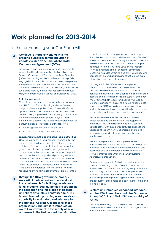

## **Work planned for 2013-2014**

### In the forthcoming year GeoPlace will:

#### **Continue to improve working with the creating authorities for the provision of updates to GeoPlace through the Data Cooperation Agreement (DCA) A**

Provision of a highly professional service to and from the local authorities who are creating the Local Land and Property Gazetteers (LLPG's) and Local Street Gazetteers (LSG's). The creating local authorities must be kept fully engaged with the whole address and street data process. They provide frequent updates to the central hub of new addresses and streets and respond to change intelligence supplied to them by the hub that has come from Royal Mail, the Valuation Office Agency and Ordnance Survey.

#### **Data improvement**

Currently each contributing local authority updates their LLPG and LSG locally using software from a range of different suppliers. The LLPGs and LSGs are updated in accordance with the DEC with the data content being improved on an on-going basis through the annual Improvement Schedule cycle. Local government is committed to continual improvement of data. In particular we will look at the following :

- increasing the level of matching to PAF
- improving the quality of classification data

#### **Engagement with the contributing local authorities**

GeoPlace supports a local authority community who are committed to the success of a national address database. Through a network of regional custodian groups coordinated by GeoPlace together with monthly newsletter and a technical support helpdesk, we shall continue to support and provide auidance, leadership and technical advice to further both the data maintenance and use of address and street data within the community. The focus of these activities is the annual conference where Exemplar Awards recognising outstanding achievements are presented.

**Through the DCA governance process, work with local authorities to understand the requirements for building an interface for all creating local authorities to streamline the collection and integration of address and street data into a centralised hub. This is combined with providing a web services capability for a standardised interface to the National Address Gazetteer for these organisations. The aim is to introduce an overall improvement in the supply of new addresses to the National Address Gazetteer B**

In addition to data management services to support the collection, validation and dissemination of address and street data from contributing authorities GeoPlace will also make provision of support services to improve data quality in the LLPGs and LSGs. These support services, available at their choosing, cover data matching, help desk, training and business advice and consultancy around address and street related data integration and corporate strategy.

Working within the DCA governance process, GeoPlace aims to develop and roll out web based Centralised Maintenance (CM) tools to provide contributing authorities with a series of additional data capture and dissemination tools to support efficiency improvements both locally and centrally as well as making it significantly easier to enforce national data consistency. SOCITM has been commissioned to undertake a project to understand the business case for providing such a service for each local authority.

The further development of our central GeoHub infrastructure and architecture for management of the NLPG, NSG and National Address Gazetteer data together with associated software applications designed to streamline the addressing end to end process and provide efficiencies in quality and timeliness of the data.

This work is a precursor to the improvement of enhanced interfaces for the collection and integration of address and street data from local authorities and Royal Mail and also to improve and streamline the software interfaces to Ordnance Survey systems for AddressBase production.

Current management of this database includes the continual matching of the different datasets and resolution of any queries. We shall regularly review the methodology behind the AddressBase production processes and work towards streamlining some of the data inputs and processing methods in order to provide further efficiencies and cost savings in the end to end process.

#### **Explore and introduce enhanced interfaces to other PSMA members and also Ordnance Survey, VOA, Royal Mail, ONS and Ministry of Justice C**

Continue identifying opportunities to enhance the interfaces with PSMA members and other organisations through the use of the UPRN.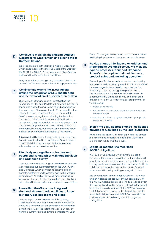#### **Continue to maintain the National Address Gazetteer for Great Britain and extend this to Northern Ireland. D**

GeoPlace maintains the National Address Gazetteer which encompasses the most valuable attributes from the NLPG, the NSG, AL2, PAF, Valuation Office Agency data, and the One Scotland Gazetteer.

Bring production of change only updates to the same level of stability as for production of full supply data files.

#### **Continue and extend the investigations around the integration of NSG and ITN data and the exploitation of associated street data E**

Our work with Ordnance Survey investigating the integration of NSG and ITN data will continue this year to scope and define the requirements and approach for the next stage of the project work. We have put in place a technical lead to oversee the project from within GeoPlace and alongside considering the technical and data architecture this resource will work with Ordnance Survey representatives to develop a product and market proposition that meets both statutory and commercial user requirements for an enhanced street dataset. This will need to be funded by the market.

This project will build on the expertise we have gained from developing the National Address Gazetteer and associated data and process interfaces to ensure efficiencies are built into the solution.

#### **Effectively manage the contractual and operational relationships with data providers and Ordnance Survey**

**F**

**GeoPlace Statement**

 $\begin{matrix} \n\text{lace} \\ \n\text{neut} \\ \n\text{2013} \n\end{matrix}$ 

Continue to manage the on-going relationships between GeoPlace and our customers through the DCA, PSMA, and Ordnance Survey contracts to achieve a clear, consistent, effective and successful partnership working arrangement. As part of this we will monitor and track work against our contracts to ensure that our obligations are met and that our performance exceeds expectations.

#### **Ensure that GeoPlace runs to agreed standard HR terms and conditions to forge a strong GeoPlace team and brand G**

In order to produce wherever possible a strong GeoPlace team and brand we will continue work to produce a common set of harmonised HR terms and conditions for GeoPlace staff. This work is underway from the current year and aims to complete this year. Our staff is our greatest asset and commitment to their well-being is paramount to our success as a business.

#### **Provide change intelligence on address and street data to Ordnance Survey via mutually agreed processes to support Ordnance Survey's data capture and maintenance, product, sales and marketing operations H**

Product specifications consist of content and quality measures as well as the way in which data is transferred between organisations. GeoPlace prides itself on delivering outputs to the agreed specifications. Continual product improvement coordinated with local authorities, Ordnance Survey and other data providers will allow us to develop our programmes of work around:

- raising quality levels
- the inclusion of new content attribution in response to market need
- creation of outputs of agreed content appropriate to specific markets.

#### **Exploit the daily address change intelligence provided to GeoPlace by the local authorities I**

Investigate the opportunities for exploiting the almost real time change intelligence data that GeoPlace maintains in the central data hubs.

#### **Enable all members to meet their INSPIRE obligations J**

INSPIRE is an EU directive which aims to create a European Union spatial data infrastructure, which will enable the sharing of environmental spatial information among public sector organisations and better facilitate public access to spatial information across Europe in order to assist in policy making across jurisdictions.

The development of the National Address Gazetteer and an AddressBase product output compliant with the INSPIRE Address data model will be produced from the National Address Gazetteer. Data in this format will be available to all members of the PSMA at no extra cost. This means that local authorities will be able to meet their obligations under INSPIRE at no additional cost. We expect to deliver against this obligation during 2013.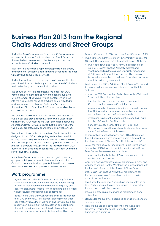# **CeoPlace**<br> **Statement**<br>  $2013$

## **Business Plan 2013 from the Regional Chairs Address and Street Groups**

Under the Data Co-operation Agreement (DCA) governance process, the Regional Chairs Address and Street Groups are the elected representatives of the Authority Address and Authority Street Custodian community.

Their remit includes deciding the strategic direction, quality and content of authority addressing and street data, together with advising on GeoPlace services.

Underpinning this role is the production of an annual business plan of work to which Authority Address and Street Custodians work collectively as a community to deliver.

The annual business plan represents the steps that DCA Participating Authorities take within the continuous cycle of improvement of data quality and content which is fed into the AddressBase range of products and distributed to a wide range of users through Ordnance Survey, and also the National Street Gazetteer (NSG) which supports national roadwork coordination.

The business plan outlines the forthcoming activities for the two groups and provides context for the work undertaken within the DCA. Combining the work of the Regional Chairs Address and Street Groups ensures that the activities of the two groups are effectively coordinated and synchronised.

The business plan consists of a number of activities which are designed to help DCA Participating Authorities commit to data updates and quality improvements whilst also providing them with support to undertake this programme of work. It also provides a structure through which the requirements of DCA authorities can be fed back centrally to GeoPlace, Ordnance Survey and other bodies.

A number of work programmes are managed by working groups consisting of representatives from the Authority Custodian community with a specific interest in that area of work in combination with specialists from GeoPlace.

### **Work programme**

- Agreement and roll-out of the annual Authority Datasets Improvement Schedule through which DCA Participating Authorities make commitments around data quality and content, plan improvements to their data and are provided with measurements against their performance
- Review of the Data Entry Conventions and Best Practice for the NLPG and the NSG. This includes placing them out for consultation with Authority Contacts and software suppliers, reporting on the results of the consultation and combining them into one document and. This will also emphasise the need for complete synchronicity between Local Land and

Property Gazetteers (LLPGs) and Local Street Gazetteers (LSG)

- Investigate whether there are any synchronicity issues of the NSG with Ordnance Survey's Integrated Transport Network
	- Investigate town and locality remit. This is a long term issue for DCA Particpating Authority address and street specialists as there are no universally recognised definitions of settlement, town and locality names and boundaries, presenting a challenge for address and street specialists in local government
- Work around the NSG's Additional Street Data (ASD) geared to measuring improvement in content and quality. This includes:
	- ensuring DCA Participating Authorities supply ASD to level 3 and that it is spatially enabled
	- investigating data sources and statutory returns to Government that inform ASD maintenance
	- assessing whether there needs to be a process to ensure that Ordnance Survey receives information from local authorities around reclassification of streets
	- integrating Pavement Management System (PMS) data into the NSG via the GeoPlace hub
	- signposting section 58/63 of the New Roads and Streetworks Act, and the public obligation for, list of streets under Section 36 of the Highways Act
- In conjunction with the Highways and Utilities Committee (HAUC), devise a business case and agree a timetable for the development of Change Only Updates for the NSG
- Assess the methodology for capturing Public Rights of Way information (PROW) and its possible inclusion in the Data Entry Conventions as a new record type
	- ensuring that Public Rights of Way information is made available for publication
- work with local authorities to assess outcome of surveys and workshops around Central Maintenance in accordance with the terms of reference of the Regional Chairs Groups
- Define DCA Participating Authorities' requirements for the implementation of AddressBase and advise on its operational deployment
- Investigate the impact of AddressBase implementation on DCA Participating authorities and support its wider rollout through data quality improvement
- Develop a process plan to manage requirements from stakeholders
- Standardise the supply of addressing change intelligence to interested parties
- Promote the use and development of the Candidate Process for users to feedback information to DCA Participating Authorities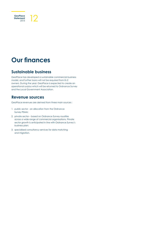

## **Our finances**

### **Sustainable business**

GeoPlace has developed a sustainable commercial business model, and further loans will not be required from its 2 owners. During the year, GeoPlace is expected to create an operational surplus which will be returned to Ordnance Survey and the Local Government Association.

### **Revenue sources**

GeoPlace revenues are derived from three main sources :

- 1. public sector an allocation from the Ordnance Survey PSMA;
- 2. private sector based on Ordnance Survey royalties across a wide range of commercial organisations. Private sector growth is anticipated in line with Ordnance Survey's business plan;
- 3. specialised consultancy services for data matching and migration.